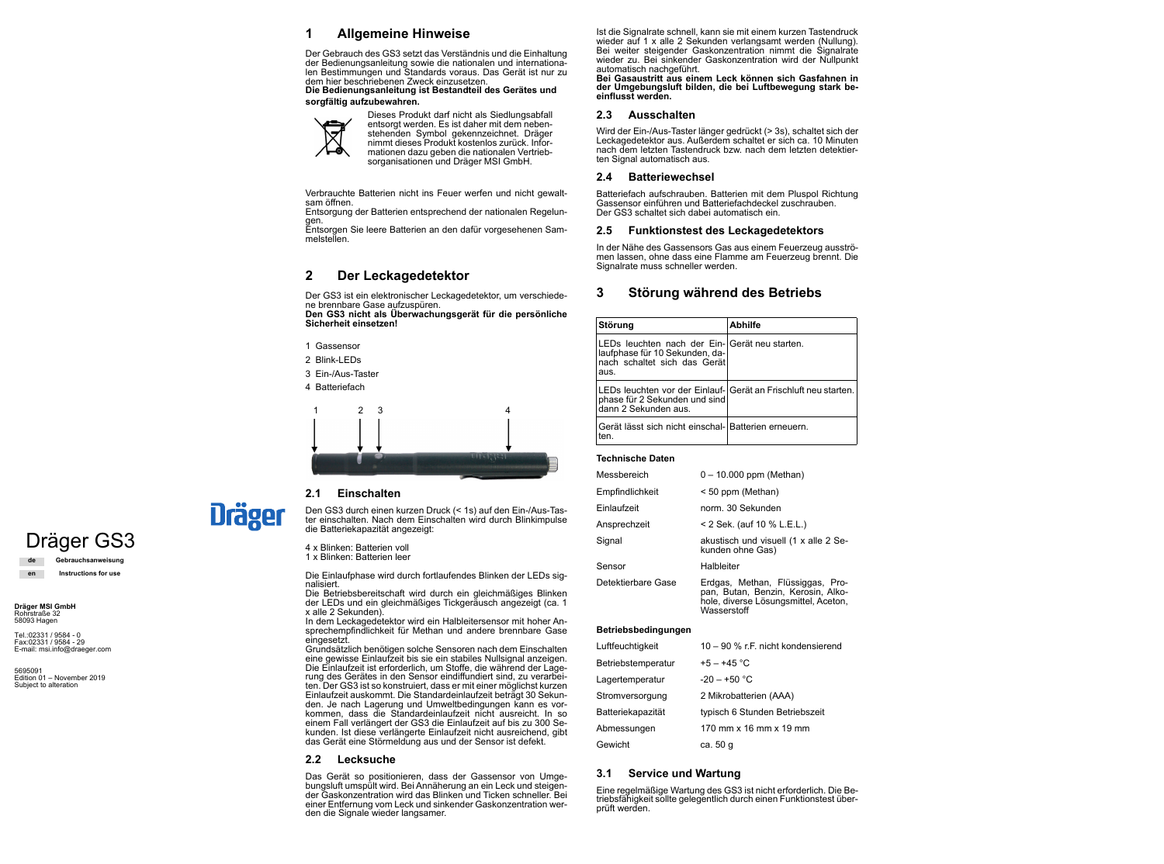# Dräger GS3

**de Gebrauchsanweisung en Instructions for use**

**Dräger MSI GmbH** Rohrstraße 32 58093 Hagen

5695091 Edition 01 – November 2019 Subject to alteration

Tel.:02331 / 9584 - 0 Fax:02331 / 9584 - 29

E-mail: msi.info@draeger.com

## **1 Allgemeine Hinweise**

Der Gebrauch des GS3 setzt das Verständnis und die Einhaltung der Bedienungsanleitung sowie die nationalen und internationalen Bestimmungen und Standards voraus. Das Gerät ist nur zu dem hier beschriebenen Zweck einzusetzen.

**Die Bedienungsanleitung ist Bestandteil des Gerätes und sorgfältig aufzubewahren.**



Verbrauchte Batterien nicht ins Feuer werfen und nicht gewaltsam öffnen.

Entsorgung der Batterien entsprechend der nationalen Regelungen.

Entsorgen Sie leere Batterien an den dafür vorgesehenen Sammelstellen.

# **2 Der Leckagedetektor**

Der GS3 ist ein elektronischer Leckagedetektor, um verschiedene brennbare Gase aufzuspüren.

**Den GS3 nicht als Überwachungsgerät für die persönliche Sicherheit einsetzen!**

# **2.1 Einschalten**

**Dräger** 

Den GS3 durch einen kurzen Druck (< 1s) auf den Ein-/Aus-Taster einschalten. Nach dem Einschalten wird durch Blinkimpulse die Batteriekapazität angezeigt:

- 4 x Blinken: Batterien voll
- 1 x Blinken: Batterien leer

Die Einlaufphase wird durch fortlaufendes Blinken der LEDs signalisiert.

Die Betriebsbereitschaft wird durch ein gleichmäßiges Blinken der LEDs und ein gleichmäßiges Tickgeräusch angezeigt (ca. 1 x alle 2 Sekunden).

In dem Leckagedetektor wird ein Halbleitersensor mit hoher Ansprechempfindlichkeit für Methan und andere brennbare Gase eingesetzt.

Wird der Ein-/Aus-Taster länger gedrückt (> 3s), schaltet sich der Leckagedetektor aus. Außerdem schaltet er sich ca. 10 Minuten nach dem letzten Tastendruck bzw. nach dem letzten detektierten Signal automatisch aus.

Grundsätzlich benötigen solche Sensoren nach dem Einschalten eine gewisse Einlaufzeit bis sie ein stabiles Nullsignal anzeigen. Die Einlaufzeit ist erforderlich, um Stoffe, die während der Lagerung des Gerätes in den Sensor eindiffundiert sind, zu verarbeiten. Der GS3 ist so konstruiert, dass er mit einer möglichst kurzen Einlaufzeit auskommt. Die Standardeinlaufzeit beträgt 30 Sekunden. Je nach Lagerung und Umweltbedingungen kann es vorkommen, dass die Standardeinlaufzeit nicht ausreicht. In so einem Fall verlängert der GS3 die Einlaufzeit auf bis zu 300 Sekunden. Ist diese verlängerte Einlaufzeit nicht ausreichend, gibt das Gerät eine Störmeldung aus und der Sensor ist defekt.

## **2.2 Lecksuche**

Das Gerät so positionieren, dass der Gassensor von Umgebungsluft umspült wird. Bei Annäherung an ein Leck und steigender Gaskonzentration wird das Blinken und Ticken schneller. Bei einer Entfernung vom Leck und sinkender Gaskonzentration werden die Signale wieder langsamer.

Dieses Produkt darf nicht als Siedlungsabfall entsorgt werden. Es ist daher mit dem nebenstehenden Symbol gekennzeichnet. Dräger nimmt dieses Produkt kostenlos zurück. Informationen dazu geben die nationalen Vertriebsorganisationen und Dräger MSI GmbH.

- 1 Gassensor
- 2 Blink-LEDs
- 3 Ein-/Aus-Taster
- 4 Batteriefach



Ist die Signalrate schnell, kann sie mit einem kurzen Tastendruck wieder auf 1 x alle 2 Sekunden verlangsamt werden (Nullung). Bei weiter steigender Gaskonzentration nimmt die Signalrate wieder zu. Bei sinkender Gaskonzentration wird der Nullpunkt automatisch nachgeführt.

**Bei Gasaustritt aus einem Leck können sich Gasfahnen in der Umgebungsluft bilden, die bei Luftbewegung stark beeinflusst werden.**

#### **2.3 Ausschalten**

## **2.4 Batteriewechsel**

Batteriefach aufschrauben. Batterien mit dem Pluspol Richtung Gassensor einführen und Batteriefachdeckel zuschrauben. Der GS3 schaltet sich dabei automatisch ein.

#### **2.5 Funktionstest des Leckagedetektors**

In der Nähe des Gassensors Gas aus einem Feuerzeug ausströmen lassen, ohne dass eine Flamme am Feuerzeug brennt. Die Signalrate muss schneller werden.

# **3 Störung während des Betriebs**

#### **Technische Daten**

#### **Betriebsbedingungen**

## **3.1 Service und Wartung**

Eine regelmäßige Wartung des GS3 ist nicht erforderlich. Die Betriebsfähigkeit sollte gelegentlich durch einen Funktionstest überprüft werden.

| Störung                                                                                                                  | <b>Abhilfe</b> |
|--------------------------------------------------------------------------------------------------------------------------|----------------|
| LEDs leuchten nach der Ein- Gerät neu starten.<br>laufphase für 10 Sekunden, da-<br>nach schaltet sich das Gerät<br>aus. |                |
| LEDs leuchten vor der Einlauf- Gerät an Frischluft neu starten.<br>phase für 2 Sekunden und sind<br>dann 2 Sekunden aus. |                |
| Gerät lässt sich nicht einschal- Batterien erneuern.<br>ren                                                              |                |

| Messbereich        | $0 - 10.000$ ppm (Methan)                                                                                                     |
|--------------------|-------------------------------------------------------------------------------------------------------------------------------|
| Empfindlichkeit    | < 50 ppm (Methan)                                                                                                             |
| Einlaufzeit        | norm. 30 Sekunden                                                                                                             |
| Ansprechzeit       | < 2 Sek. (auf 10 % L.E.L.)                                                                                                    |
| Signal             | akustisch und visuell (1 x alle 2 Se-<br>kunden ohne Gas)                                                                     |
| Sensor             | Halbleiter                                                                                                                    |
| Detektierbare Gase | Erdgas, Methan, Flüssiggas, Pro-<br>pan, Butan, Benzin, Kerosin, Alko-<br>hole, diverse Lösungsmittel, Aceton,<br>Wasserstoff |

| Luftfeuchtigkeit   | 10 – 90 % r.F. nicht kondensierend |
|--------------------|------------------------------------|
| Betriebstemperatur | +5 – +45 °C                        |
| Lagertemperatur    | $-20 - +50$ °C                     |
| Stromversorgung    | 2 Mikrobatterien (AAA)             |
| Batteriekapazität  | typisch 6 Stunden Betriebszeit     |
| Abmessungen        | 170 mm x 16 mm x 19 mm             |
| Gewicht            | ca. 50 g                           |